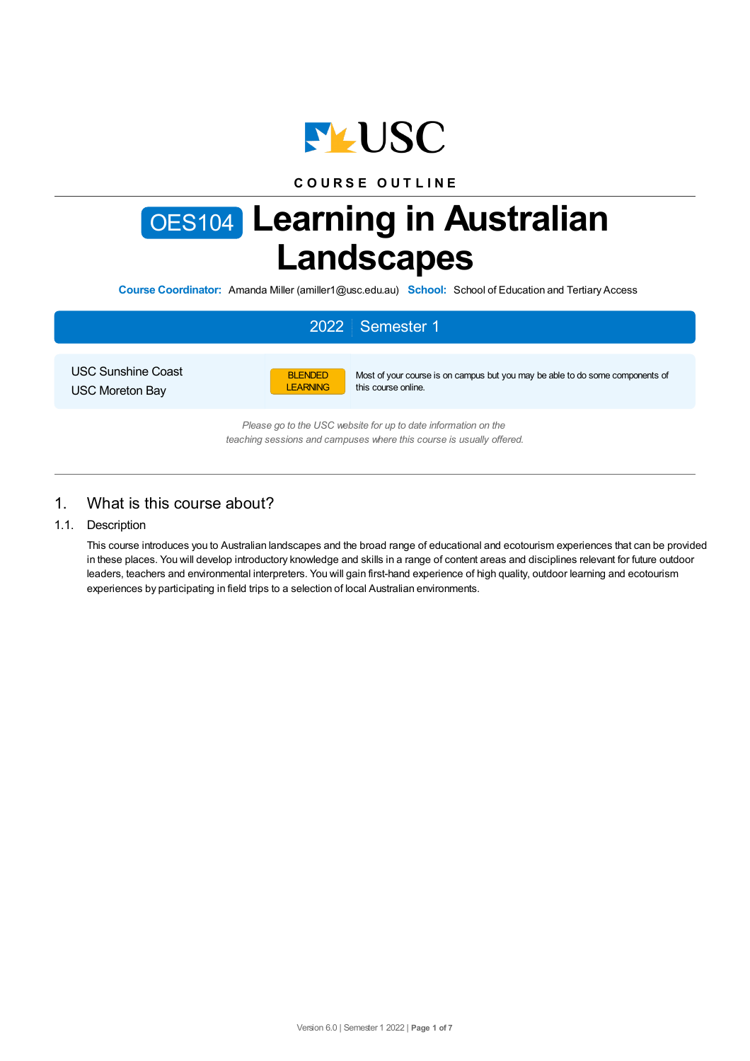

# **C O U R S E O U T L I N E**

# OES104 **Learning in Australian Landscapes**

**Course Coordinator:** Amanda Miller (amiller1@usc.edu.au) **School:** School of Education and Tertiary Access

# 2022 Semester 1

USC Sunshine Coast USC Moreton Bay



Most of your course is on campus but you may be able to do some components of this course online.

*Please go to the USC website for up to date information on the teaching sessions and campuses where this course is usually offered.*

# 1. What is this course about?

## 1.1. Description

This course introduces you to Australian landscapes and the broad range of educational and ecotourism experiences that can be provided in these places. You will develop introductory knowledge and skills in a range of content areas and disciplines relevant for future outdoor leaders, teachers and environmental interpreters. You will gain first-hand experience of high quality, outdoor learning and ecotourism experiences by participating in field trips to a selection of local Australian environments.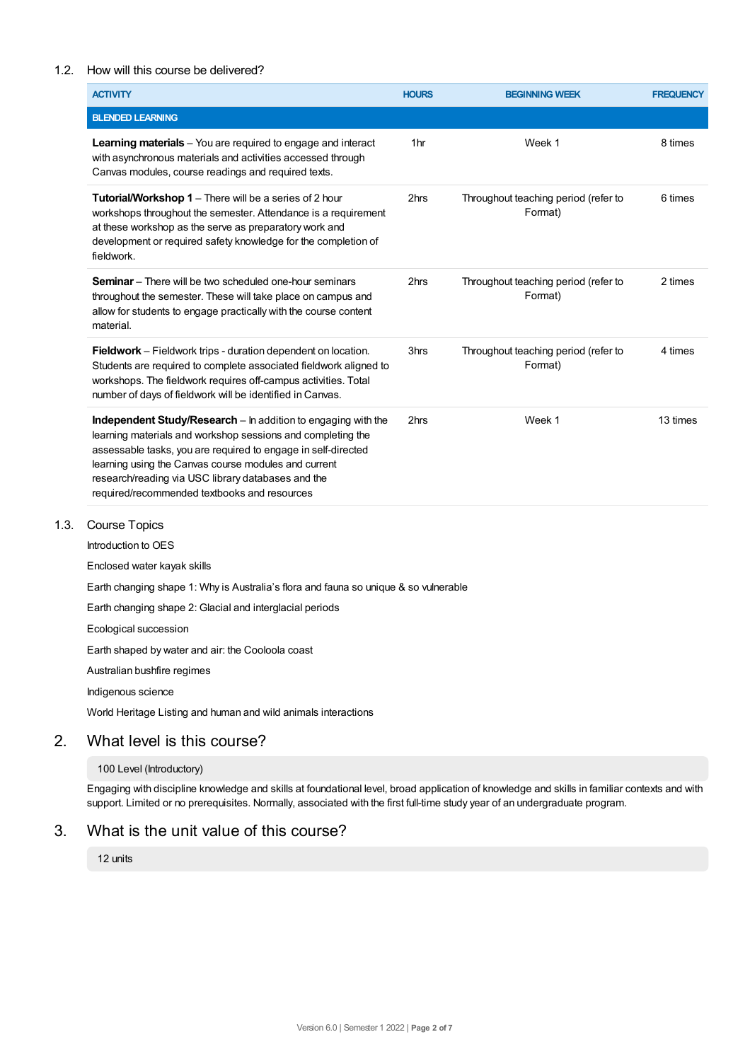## 1.2. How will this course be delivered?

| <b>ACTIVITY</b>                                                                                                                                                                                                                                                                                                                                                    | <b>HOURS</b>    | <b>BEGINNING WEEK</b>                           | <b>FREQUENCY</b> |  |  |  |
|--------------------------------------------------------------------------------------------------------------------------------------------------------------------------------------------------------------------------------------------------------------------------------------------------------------------------------------------------------------------|-----------------|-------------------------------------------------|------------------|--|--|--|
| <b>BLENDED LEARNING</b>                                                                                                                                                                                                                                                                                                                                            |                 |                                                 |                  |  |  |  |
| <b>Learning materials</b> – You are required to engage and interact<br>with asynchronous materials and activities accessed through<br>Canvas modules, course readings and required texts.                                                                                                                                                                          | 1 <sub>hr</sub> | Week 1                                          | 8 times          |  |  |  |
| <b>Tutorial/Workshop 1</b> – There will be a series of 2 hour<br>workshops throughout the semester. Attendance is a requirement<br>at these workshop as the serve as preparatory work and<br>development or required safety knowledge for the completion of<br>fieldwork.                                                                                          | 2hrs            | Throughout teaching period (refer to<br>Format) | 6 times          |  |  |  |
| <b>Seminar</b> – There will be two scheduled one-hour seminars<br>throughout the semester. These will take place on campus and<br>allow for students to engage practically with the course content<br>material.                                                                                                                                                    | 2hrs            | Throughout teaching period (refer to<br>Format) | 2 times          |  |  |  |
| <b>Fieldwork</b> – Fieldwork trips - duration dependent on location.<br>Students are required to complete associated fieldwork aligned to<br>workshops. The fieldwork requires off-campus activities. Total<br>number of days of fieldwork will be identified in Canvas.                                                                                           | 3hrs            | Throughout teaching period (refer to<br>Format) | 4 times          |  |  |  |
| <b>Independent Study/Research</b> – In addition to engaging with the<br>learning materials and workshop sessions and completing the<br>assessable tasks, you are required to engage in self-directed<br>learning using the Canvas course modules and current<br>research/reading via USC library databases and the<br>required/recommended textbooks and resources | 2hrs            | Week 1                                          | 13 times         |  |  |  |
| <b>Course Topics</b>                                                                                                                                                                                                                                                                                                                                               |                 |                                                 |                  |  |  |  |
| Introduction to OES                                                                                                                                                                                                                                                                                                                                                |                 |                                                 |                  |  |  |  |
| Enclosed water kayak skills                                                                                                                                                                                                                                                                                                                                        |                 |                                                 |                  |  |  |  |
| Earth changing shape 1: Why is Australia's flora and fauna so unique & so vulnerable                                                                                                                                                                                                                                                                               |                 |                                                 |                  |  |  |  |
| Earth changing shape 2: Glacial and interglacial periods                                                                                                                                                                                                                                                                                                           |                 |                                                 |                  |  |  |  |
| Ecological succession                                                                                                                                                                                                                                                                                                                                              |                 |                                                 |                  |  |  |  |
| Earth shaped by water and air: the Cooloola coast                                                                                                                                                                                                                                                                                                                  |                 |                                                 |                  |  |  |  |
| Australian bushfire regimes                                                                                                                                                                                                                                                                                                                                        |                 |                                                 |                  |  |  |  |
| Indigenous science                                                                                                                                                                                                                                                                                                                                                 |                 |                                                 |                  |  |  |  |
| World Heritage Listing and human and wild animals interactions                                                                                                                                                                                                                                                                                                     |                 |                                                 |                  |  |  |  |
|                                                                                                                                                                                                                                                                                                                                                                    |                 |                                                 |                  |  |  |  |

# 2. What level is this course?

# 100 Level (Introductory)

Engaging with discipline knowledge and skills at foundational level, broad application of knowledge and skills in familiar contexts and with support. Limited or no prerequisites. Normally, associated with the first full-time study year of an undergraduate program.

# 3. What is the unit value of this course?

12 units

 $1.3.$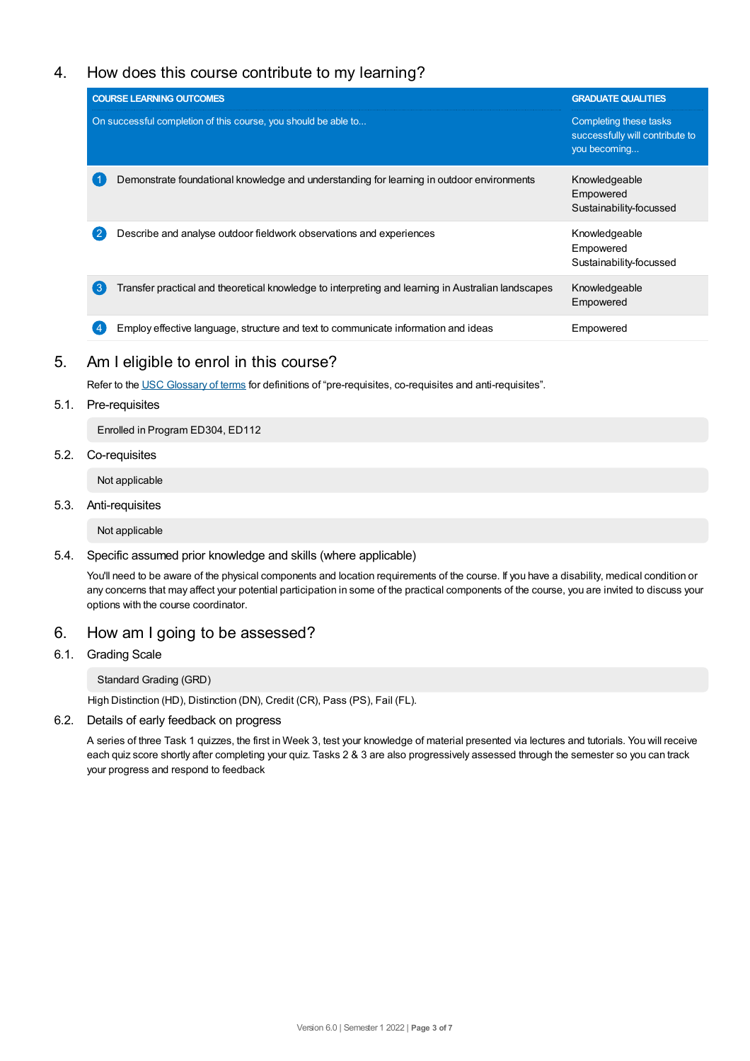# 4. How does this course contribute to my learning?

| <b>COURSE LEARNING OUTCOMES</b>                                                                         | <b>GRADUATE QUALITIES</b>                                                 |
|---------------------------------------------------------------------------------------------------------|---------------------------------------------------------------------------|
| On successful completion of this course, you should be able to                                          | Completing these tasks<br>successfully will contribute to<br>you becoming |
| Demonstrate foundational knowledge and understanding for learning in outdoor environments               | Knowledgeable<br>Empowered<br>Sustainability-focussed                     |
| Describe and analyse outdoor fieldwork observations and experiences                                     | Knowledgeable<br>Empowered<br>Sustainability-focussed                     |
| 3<br>Transfer practical and theoretical knowledge to interpreting and learning in Australian landscapes | Knowledgeable<br>Empowered                                                |
| Employ effective language, structure and text to communicate information and ideas                      | Empowered                                                                 |
|                                                                                                         |                                                                           |

# 5. Am Ieligible to enrol in this course?

Refer to the USC [Glossary](https://www.usc.edu.au/about/policies-and-procedures/glossary-of-terms-for-policy-and-procedures) of terms for definitions of "pre-requisites, co-requisites and anti-requisites".

5.1. Pre-requisites

Enrolled in Program ED304, ED112

5.2. Co-requisites

Not applicable

5.3. Anti-requisites

Not applicable

5.4. Specific assumed prior knowledge and skills (where applicable)

You'll need to be aware of the physical components and location requirements of the course. If you have a disability, medical condition or any concerns that may affect your potential participation in some of the practical components of the course, you are invited to discuss your options with the course coordinator.

# 6. How am Igoing to be assessed?

6.1. Grading Scale

Standard Grading (GRD)

High Distinction (HD), Distinction (DN), Credit (CR), Pass (PS), Fail (FL).

6.2. Details of early feedback on progress

A series of three Task 1 quizzes, the first in Week 3, test your knowledge of material presented via lectures and tutorials. You will receive each quiz score shortly after completing your quiz. Tasks 2 & 3 are also progressively assessed through the semester so you can track your progress and respond to feedback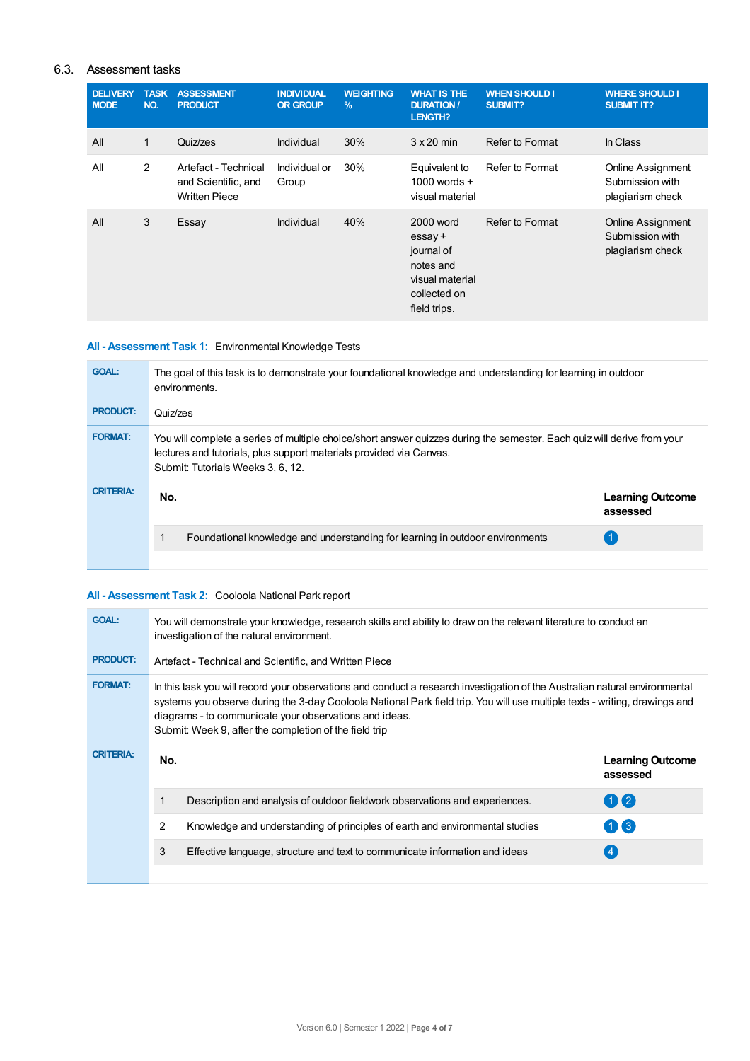# 6.3. Assessment tasks

| <b>DELIVERY</b><br><b>MODE</b> | <b>TASK</b><br>NO. | <b>ASSESSMENT</b><br><b>PRODUCT</b>                                 | <b>INDIVIDUAL</b><br><b>OR GROUP</b> | <b>WEIGHTING</b><br>$\%$ | <b>WHAT IS THE</b><br><b>DURATION /</b><br><b>LENGTH?</b>                                          | <b>WHEN SHOULD I</b><br><b>SUBMIT?</b> | <b>WHERE SHOULD I</b><br><b>SUBMIT IT?</b>                      |
|--------------------------------|--------------------|---------------------------------------------------------------------|--------------------------------------|--------------------------|----------------------------------------------------------------------------------------------------|----------------------------------------|-----------------------------------------------------------------|
| All                            | 1                  | Quiz/zes                                                            | Individual                           | 30%                      | $3 \times 20$ min                                                                                  | Refer to Format                        | In Class                                                        |
| All                            | $\overline{2}$     | Artefact - Technical<br>and Scientific, and<br><b>Written Piece</b> | Individual or<br>Group               | 30%                      | Equivalent to<br>1000 words $+$<br>visual material                                                 | Refer to Format                        | <b>Online Assignment</b><br>Submission with<br>plagiarism check |
| All                            | 3                  | Essay                                                               | Individual                           | 40%                      | 2000 word<br>essay +<br>journal of<br>notes and<br>visual material<br>collected on<br>field trips. | Refer to Format                        | <b>Online Assignment</b><br>Submission with<br>plagiarism check |

## **All - Assessment Task 1:** Environmental Knowledge Tests

| <b>GOAL:</b>     | The goal of this task is to demonstrate your foundational knowledge and understanding for learning in outdoor<br>environments.                                                                                                      |                                     |  |
|------------------|-------------------------------------------------------------------------------------------------------------------------------------------------------------------------------------------------------------------------------------|-------------------------------------|--|
| <b>PRODUCT:</b>  | Quiz/zes                                                                                                                                                                                                                            |                                     |  |
| <b>FORMAT:</b>   | You will complete a series of multiple choice/short answer quizzes during the semester. Each quiz will derive from your<br>lectures and tutorials, plus support materials provided via Canvas.<br>Submit: Tutorials Weeks 3, 6, 12. |                                     |  |
| <b>CRITERIA:</b> | No.                                                                                                                                                                                                                                 | <b>Learning Outcome</b><br>assessed |  |
|                  | Foundational knowledge and understanding for learning in outdoor environments                                                                                                                                                       |                                     |  |
|                  |                                                                                                                                                                                                                                     |                                     |  |

# **All - Assessment Task 2:** Cooloola National Park report

| <b>GOAL:</b>     | You will demonstrate your knowledge, research skills and ability to draw on the relevant literature to conduct an<br>investigation of the natural environment. |                                                                                                                                                                                                                                                                                                                                                                                |                                     |
|------------------|----------------------------------------------------------------------------------------------------------------------------------------------------------------|--------------------------------------------------------------------------------------------------------------------------------------------------------------------------------------------------------------------------------------------------------------------------------------------------------------------------------------------------------------------------------|-------------------------------------|
| <b>PRODUCT:</b>  | Artefact - Technical and Scientific, and Written Piece                                                                                                         |                                                                                                                                                                                                                                                                                                                                                                                |                                     |
| <b>FORMAT:</b>   |                                                                                                                                                                | In this task you will record your observations and conduct a research investigation of the Australian natural environmental<br>systems you observe during the 3-day Cooloola National Park field trip. You will use multiple texts - writing, drawings and<br>diagrams - to communicate your observations and ideas.<br>Submit: Week 9, after the completion of the field trip |                                     |
| <b>CRITERIA:</b> | No.                                                                                                                                                            |                                                                                                                                                                                                                                                                                                                                                                                | <b>Learning Outcome</b><br>assessed |
|                  |                                                                                                                                                                | Description and analysis of outdoor fieldwork observations and experiences.                                                                                                                                                                                                                                                                                                    | 02                                  |
|                  | $\overline{2}$                                                                                                                                                 | Knowledge and understanding of principles of earth and environmental studies                                                                                                                                                                                                                                                                                                   | 113                                 |
|                  | 3                                                                                                                                                              | Effective language, structure and text to communicate information and ideas                                                                                                                                                                                                                                                                                                    |                                     |
|                  |                                                                                                                                                                |                                                                                                                                                                                                                                                                                                                                                                                |                                     |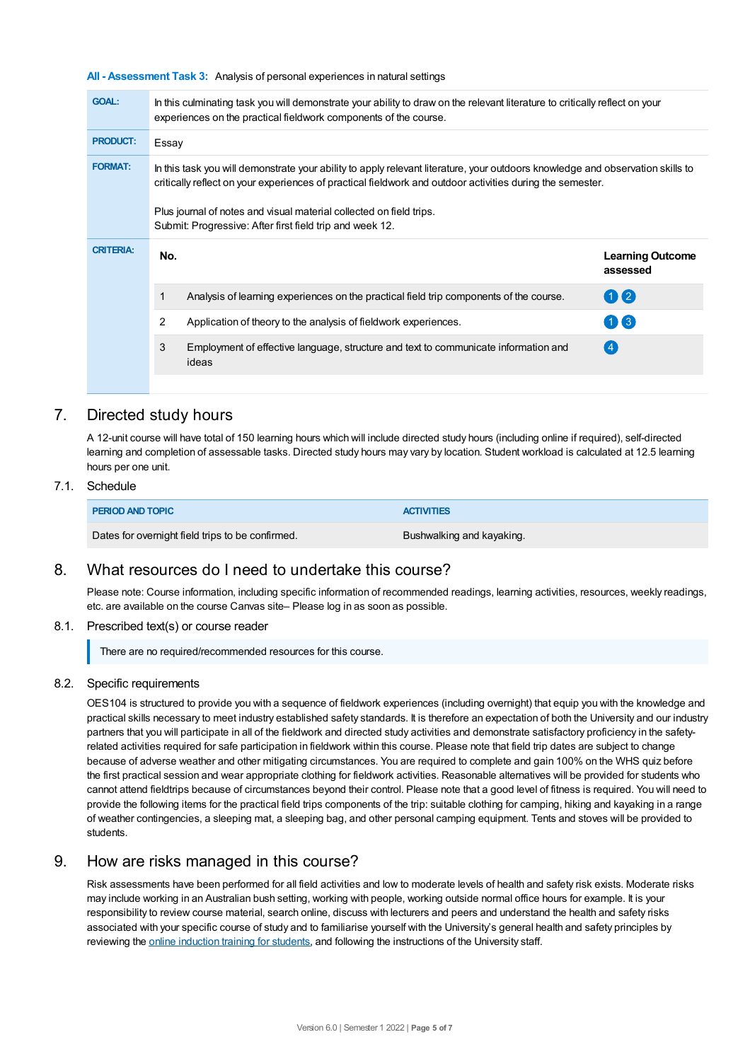**All - Assessment Task 3:** Analysis of personal experiences in natural settings

| <b>GOAL:</b>     | In this culminating task you will demonstrate your ability to draw on the relevant literature to critically reflect on your<br>experiences on the practical fieldwork components of the course.                                             |                                                                                              |                                     |  |
|------------------|---------------------------------------------------------------------------------------------------------------------------------------------------------------------------------------------------------------------------------------------|----------------------------------------------------------------------------------------------|-------------------------------------|--|
| <b>PRODUCT:</b>  | Essay                                                                                                                                                                                                                                       |                                                                                              |                                     |  |
| <b>FORMAT:</b>   | In this task you will demonstrate your ability to apply relevant literature, your outdoors knowledge and observation skills to<br>critically reflect on your experiences of practical fieldwork and outdoor activities during the semester. |                                                                                              |                                     |  |
|                  | Plus journal of notes and visual material collected on field trips.                                                                                                                                                                         |                                                                                              |                                     |  |
|                  | Submit: Progressive: After first field trip and week 12.                                                                                                                                                                                    |                                                                                              |                                     |  |
|                  |                                                                                                                                                                                                                                             |                                                                                              |                                     |  |
| <b>CRITERIA:</b> | No.                                                                                                                                                                                                                                         |                                                                                              | <b>Learning Outcome</b><br>assessed |  |
|                  |                                                                                                                                                                                                                                             | Analysis of learning experiences on the practical field trip components of the course.       | 02                                  |  |
|                  |                                                                                                                                                                                                                                             |                                                                                              |                                     |  |
|                  | 2                                                                                                                                                                                                                                           | Application of theory to the analysis of fieldwork experiences.                              | 113                                 |  |
|                  | 3                                                                                                                                                                                                                                           | Employment of effective language, structure and text to communicate information and<br>ideas | (4)                                 |  |

## 7. Directed study hours

A 12-unit course will have total of 150 learning hours which will include directed study hours (including online if required), self-directed learning and completion of assessable tasks. Directed study hours may vary by location. Student workload is calculated at 12.5 learning hours per one unit.

#### 7.1. Schedule

| <b>PERIOD AND TOPIC</b>                          | <b>ACTIVITIES</b>         |
|--------------------------------------------------|---------------------------|
| Dates for overnight field trips to be confirmed. | Bushwalking and kayaking. |

# 8. What resources do I need to undertake this course?

Please note: Course information, including specific information of recommended readings, learning activities, resources, weekly readings, etc. are available on the course Canvas site– Please log in as soon as possible.

## 8.1. Prescribed text(s) or course reader

There are no required/recommended resources for this course.

#### 8.2. Specific requirements

OES104 is structured to provide you with a sequence of fieldwork experiences (including overnight) that equip you with the knowledge and practical skills necessary to meet industry established safety standards. It is therefore an expectation of both the University and our industry partners that you will participate in all of the fieldwork and directed study activities and demonstrate satisfactory proficiency in the safetyrelated activities required for safe participation in fieldwork within this course. Please note that field trip dates are subject to change because of adverse weather and other mitigating circumstances. You are required to complete and gain 100% on the WHS quiz before the first practical session and wear appropriate clothing for fieldwork activities. Reasonable alternatives will be provided for students who cannot attend fieldtrips because of circumstances beyond their control. Please note that a good level of fitness is required. You will need to provide the following items for the practical field trips components of the trip: suitable clothing for camping, hiking and kayaking in a range of weather contingencies, a sleeping mat, a sleeping bag, and other personal camping equipment. Tents and stoves will be provided to students.

# 9. How are risks managed in this course?

Risk assessments have been performed for all field activities and low to moderate levels of health and safety risk exists. Moderate risks may include working in an Australian bush setting, working with people, working outside normal office hours for example. It is your responsibility to review course material, search online, discuss with lecturers and peers and understand the health and safety risks associated with your specific course of study and to familiarise yourself with the University's general health and safety principles by reviewing the online [induction](https://online.usc.edu.au/webapps/blackboard/content/listContentEditable.jsp?content_id=_632657_1&course_id=_14432_1) training for students, and following the instructions of the University staff.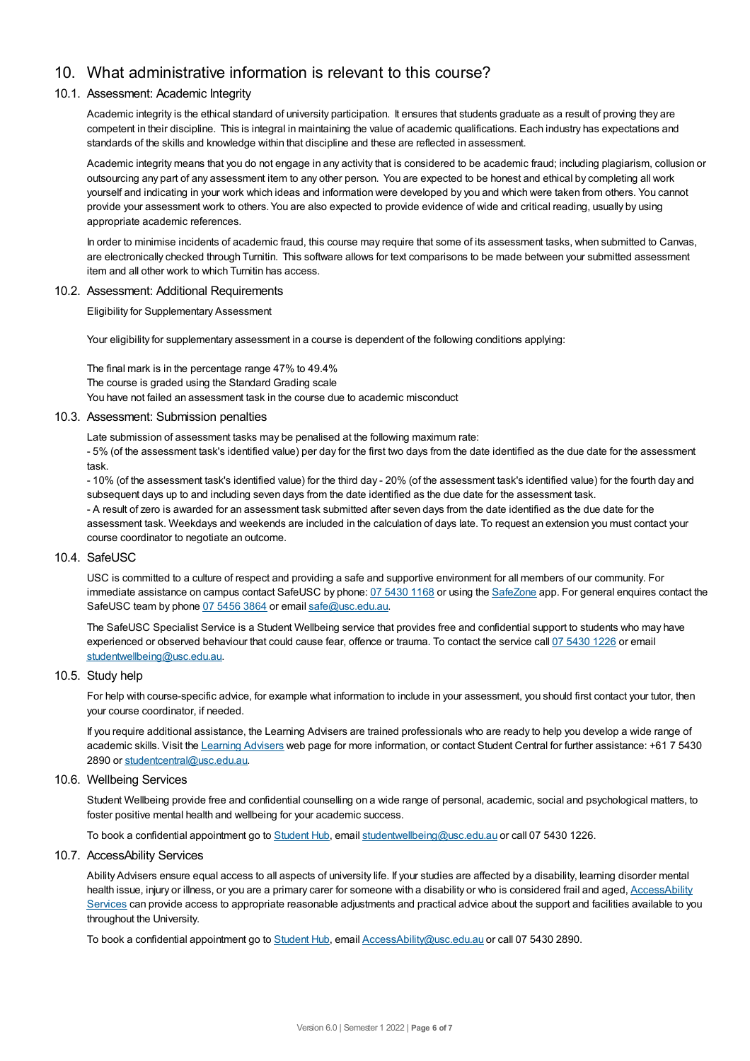# 10. What administrative information is relevant to this course?

### 10.1. Assessment: Academic Integrity

Academic integrity is the ethical standard of university participation. It ensures that students graduate as a result of proving they are competent in their discipline. This is integral in maintaining the value of academic qualifications. Each industry has expectations and standards of the skills and knowledge within that discipline and these are reflected in assessment.

Academic integrity means that you do not engage in any activity that is considered to be academic fraud; including plagiarism, collusion or outsourcing any part of any assessment item to any other person. You are expected to be honest and ethical by completing all work yourself and indicating in your work which ideas and information were developed by you and which were taken from others. You cannot provide your assessment work to others.You are also expected to provide evidence of wide and critical reading, usually by using appropriate academic references.

In order to minimise incidents of academic fraud, this course may require that some of its assessment tasks, when submitted to Canvas, are electronically checked through Turnitin. This software allows for text comparisons to be made between your submitted assessment item and all other work to which Turnitin has access.

#### 10.2. Assessment: Additional Requirements

Eligibility for Supplementary Assessment

Your eligibility for supplementary assessment in a course is dependent of the following conditions applying:

The final mark is in the percentage range 47% to 49.4% The course is graded using the Standard Grading scale You have not failed an assessment task in the course due to academic misconduct

#### 10.3. Assessment: Submission penalties

Late submission of assessment tasks may be penalised at the following maximum rate:

- 5% (of the assessment task's identified value) per day for the first two days from the date identified as the due date for the assessment task.

- 10% (of the assessment task's identified value) for the third day - 20% (of the assessment task's identified value) for the fourth day and subsequent days up to and including seven days from the date identified as the due date for the assessment task. - A result of zero is awarded for an assessment task submitted after seven days from the date identified as the due date for the assessment task. Weekdays and weekends are included in the calculation of days late. To request an extension you must contact your course coordinator to negotiate an outcome.

#### 10.4. SafeUSC

USC is committed to a culture of respect and providing a safe and supportive environment for all members of our community. For immediate assistance on campus contact SafeUSC by phone: 07 [5430](tel:07%205430%201168) 1168 or using the [SafeZone](https://www.safezoneapp.com) app. For general enquires contact the SafeUSC team by phone 07 [5456](tel:07%205456%203864) 3864 or email [safe@usc.edu.au](mailto:safe@usc.edu.au).

The SafeUSC Specialist Service is a Student Wellbeing service that provides free and confidential support to students who may have experienced or observed behaviour that could cause fear, offence or trauma. To contact the service call 07 [5430](tel:07%205430%201226) 1226 or email [studentwellbeing@usc.edu.au](mailto:studentwellbeing@usc.edu.au).

#### 10.5. Study help

For help with course-specific advice, for example what information to include in your assessment, you should first contact your tutor, then your course coordinator, if needed.

If you require additional assistance, the Learning Advisers are trained professionals who are ready to help you develop a wide range of academic skills. Visit the Learning [Advisers](https://www.usc.edu.au/current-students/student-support/academic-and-study-support/learning-advisers) web page for more information, or contact Student Central for further assistance: +61 7 5430 2890 or [studentcentral@usc.edu.au](mailto:studentcentral@usc.edu.au).

#### 10.6. Wellbeing Services

Student Wellbeing provide free and confidential counselling on a wide range of personal, academic, social and psychological matters, to foster positive mental health and wellbeing for your academic success.

To book a confidential appointment go to [Student](https://studenthub.usc.edu.au/) Hub, email [studentwellbeing@usc.edu.au](mailto:studentwellbeing@usc.edu.au) or call 07 5430 1226.

#### 10.7. AccessAbility Services

Ability Advisers ensure equal access to all aspects of university life. If your studies are affected by a disability, learning disorder mental health issue, injury or illness, or you are a primary carer for someone with a disability or who is considered frail and aged, [AccessAbility](https://www.usc.edu.au/learn/student-support/accessability-services/documentation-requirements) Services can provide access to appropriate reasonable adjustments and practical advice about the support and facilities available to you throughout the University.

To book a confidential appointment go to [Student](https://studenthub.usc.edu.au/) Hub, email [AccessAbility@usc.edu.au](mailto:AccessAbility@usc.edu.au) or call 07 5430 2890.